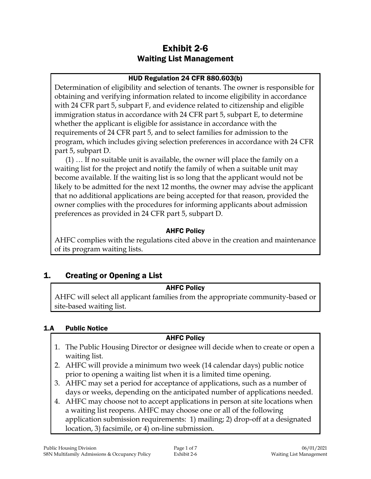# Exhibit 2-6 Waiting List Management

## HUD Regulation 24 CFR 880.603(b)

Determination of eligibility and selection of tenants. The owner is responsible for obtaining and verifying information related to income eligibility in accordance with 24 CFR part 5, subpart F, and evidence related to citizenship and eligible immigration status in accordance with 24 CFR part 5, subpart E, to determine whether the applicant is eligible for assistance in accordance with the requirements of 24 CFR part 5, and to select families for admission to the program, which includes giving selection preferences in accordance with 24 CFR part 5, subpart D.

(1) … If no suitable unit is available, the owner will place the family on a waiting list for the project and notify the family of when a suitable unit may become available. If the waiting list is so long that the applicant would not be likely to be admitted for the next 12 months, the owner may advise the applicant that no additional applications are being accepted for that reason, provided the owner complies with the procedures for informing applicants about admission preferences as provided in 24 CFR part 5, subpart D.

## AHFC Policy

AHFC complies with the regulations cited above in the creation and maintenance of its program waiting lists.

# 1. Creating or Opening a List

### AHFC Policy

AHFC will select all applicant families from the appropriate community-based or site-based waiting list.

### 1.A Public Notice

## AHFC Policy

- 1. The Public Housing Director or designee will decide when to create or open a waiting list.
- 2. AHFC will provide a minimum two week (14 calendar days) public notice prior to opening a waiting list when it is a limited time opening.
- 3. AHFC may set a period for acceptance of applications, such as a number of days or weeks, depending on the anticipated number of applications needed.
- 4. AHFC may choose not to accept applications in person at site locations when a waiting list reopens. AHFC may choose one or all of the following application submission requirements: 1) mailing; 2) drop-off at a designated location, 3) facsimile, or 4) on-line submission.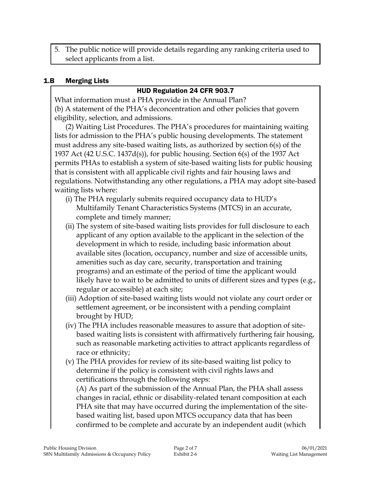5. The public notice will provide details regarding any ranking criteria used to select applicants from a list.

#### 1.B Merging Lists

#### HUD Regulation 24 CFR 903.7

What information must a PHA provide in the Annual Plan? (b) A statement of the PHA's deconcentration and other policies that govern eligibility, selection, and admissions.

(2) Waiting List Procedures. The PHA's procedures for maintaining waiting lists for admission to the PHA's public housing developments. The statement must address any site-based waiting lists, as authorized by section 6(s) of the 1937 Act (42 U.S.C. 1437d(s)), for public housing. Section 6(s) of the 1937 Act permits PHAs to establish a system of site-based waiting lists for public housing that is consistent with all applicable civil rights and fair housing laws and regulations. Notwithstanding any other regulations, a PHA may adopt site-based waiting lists where:

- (i) The PHA regularly submits required occupancy data to HUD's Multifamily Tenant Characteristics Systems (MTCS) in an accurate, complete and timely manner;
- (ii) The system of site-based waiting lists provides for full disclosure to each applicant of any option available to the applicant in the selection of the development in which to reside, including basic information about available sites (location, occupancy, number and size of accessible units, amenities such as day care, security, transportation and training programs) and an estimate of the period of time the applicant would likely have to wait to be admitted to units of different sizes and types (e.g., regular or accessible) at each site;
- (iii) Adoption of site-based waiting lists would not violate any court order or settlement agreement, or be inconsistent with a pending complaint brought by HUD;
- (iv) The PHA includes reasonable measures to assure that adoption of sitebased waiting lists is consistent with affirmatively furthering fair housing, such as reasonable marketing activities to attract applicants regardless of race or ethnicity;
- (v) The PHA provides for review of its site-based waiting list policy to determine if the policy is consistent with civil rights laws and certifications through the following steps:

(A) As part of the submission of the Annual Plan, the PHA shall assess changes in racial, ethnic or disability-related tenant composition at each PHA site that may have occurred during the implementation of the sitebased waiting list, based upon MTCS occupancy data that has been confirmed to be complete and accurate by an independent audit (which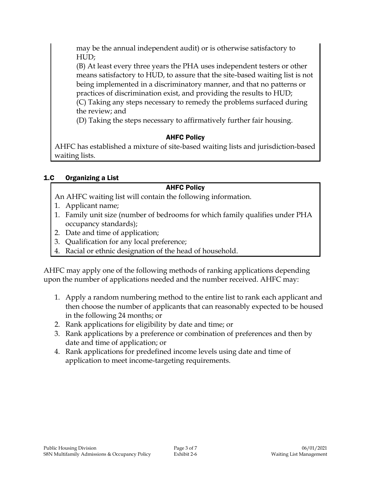may be the annual independent audit) or is otherwise satisfactory to HUD;

(B) At least every three years the PHA uses independent testers or other means satisfactory to HUD, to assure that the site-based waiting list is not being implemented in a discriminatory manner, and that no patterns or practices of discrimination exist, and providing the results to HUD;

(C) Taking any steps necessary to remedy the problems surfaced during the review; and

(D) Taking the steps necessary to affirmatively further fair housing.

# AHFC Policy

AHFC has established a mixture of site-based waiting lists and jurisdiction-based waiting lists.

# 1.C Organizing a List

# AHFC Policy

An AHFC waiting list will contain the following information.

- 1. Applicant name;
- 1. Family unit size (number of bedrooms for which family qualifies under PHA occupancy standards);
- 2. Date and time of application;
- 3. Qualification for any local preference;
- 4. Racial or ethnic designation of the head of household.

AHFC may apply one of the following methods of ranking applications depending upon the number of applications needed and the number received. AHFC may:

- 1. Apply a random numbering method to the entire list to rank each applicant and then choose the number of applicants that can reasonably expected to be housed in the following 24 months; or
- 2. Rank applications for eligibility by date and time; or
- 3. Rank applications by a preference or combination of preferences and then by date and time of application; or
- 4. Rank applications for predefined income levels using date and time of application to meet income-targeting requirements.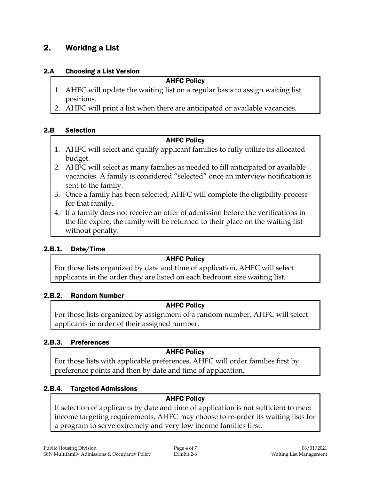# 2. Working a List

#### 2.A Choosing a List Version

#### AHFC Policy

- 1. AHFC will update the waiting list on a regular basis to assign waiting list positions.
- 2. AHFC will print a list when there are anticipated or available vacancies.

## 2.B Selection

### AHFC Policy

- 1. AHFC will select and qualify applicant families to fully utilize its allocated budget.
- 2. AHFC will select as many families as needed to fill anticipated or available vacancies. A family is considered "selected" once an interview notification is sent to the family.
- 3. Once a family has been selected, AHFC will complete the eligibility process for that family.
- 4. If a family does not receive an offer of admission before the verifications in the file expire, the family will be returned to their place on the waiting list without penalty.

### 2.B.1. Date/Time

#### AHFC Policy

For those lists organized by date and time of application, AHFC will select applicants in the order they are listed on each bedroom size waiting list.

### 2.B.2. Random Number

### AHFC Policy

For those lists organized by assignment of a random number, AHFC will select applicants in order of their assigned number.

### 2.B.3. Preferences

### AHFC Policy

For those lists with applicable preferences, AHFC will order families first by preference points and then by date and time of application.

### 2.B.4. Targeted Admissions

### AHFC Policy

If selection of applicants by date and time of application is not sufficient to meet income targeting requirements, AHFC may choose to re-order its waiting lists for a program to serve extremely and very low income families first.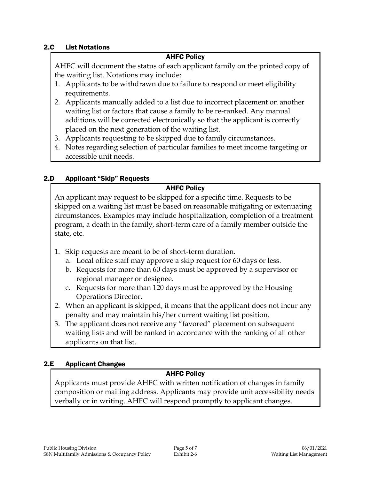#### 2.C List Notations

#### AHFC Policy

AHFC will document the status of each applicant family on the printed copy of the waiting list. Notations may include:

- 1. Applicants to be withdrawn due to failure to respond or meet eligibility requirements.
- 2. Applicants manually added to a list due to incorrect placement on another waiting list or factors that cause a family to be re-ranked. Any manual additions will be corrected electronically so that the applicant is correctly placed on the next generation of the waiting list.
- 3. Applicants requesting to be skipped due to family circumstances.
- 4. Notes regarding selection of particular families to meet income targeting or accessible unit needs.

### 2.D Applicant "Skip" Requests

### AHFC Policy

An applicant may request to be skipped for a specific time. Requests to be skipped on a waiting list must be based on reasonable mitigating or extenuating circumstances. Examples may include hospitalization, completion of a treatment program, a death in the family, short-term care of a family member outside the state, etc.

- 1. Skip requests are meant to be of short-term duration.
	- a. Local office staff may approve a skip request for 60 days or less.
	- b. Requests for more than 60 days must be approved by a supervisor or regional manager or designee.
	- c. Requests for more than 120 days must be approved by the Housing Operations Director.
- 2. When an applicant is skipped, it means that the applicant does not incur any penalty and may maintain his/her current waiting list position.
- 3. The applicant does not receive any "favored" placement on subsequent waiting lists and will be ranked in accordance with the ranking of all other applicants on that list.

### 2.E Applicant Changes

## AHFC Policy

Applicants must provide AHFC with written notification of changes in family composition or mailing address. Applicants may provide unit accessibility needs verbally or in writing. AHFC will respond promptly to applicant changes.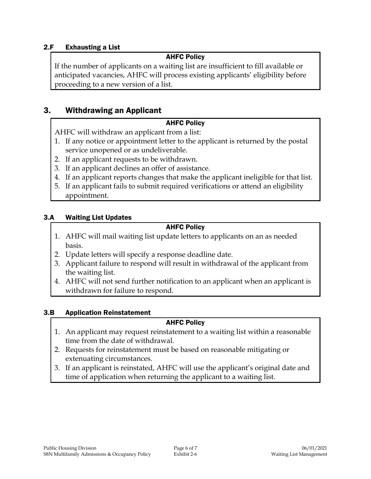#### 2.F Exhausting a List

#### AHFC Policy

If the number of applicants on a waiting list are insufficient to fill available or anticipated vacancies, AHFC will process existing applicants' eligibility before proceeding to a new version of a list.

## 3. Withdrawing an Applicant

#### AHFC Policy

AHFC will withdraw an applicant from a list:

- 1. If any notice or appointment letter to the applicant is returned by the postal service unopened or as undeliverable.
- 2. If an applicant requests to be withdrawn.
- 3. If an applicant declines an offer of assistance.
- 4. If an applicant reports changes that make the applicant ineligible for that list.
- 5. If an applicant fails to submit required verifications or attend an eligibility appointment.

#### 3.A Waiting List Updates

#### AHFC Policy

- 1. AHFC will mail waiting list update letters to applicants on an as needed basis.
- 2. Update letters will specify a response deadline date.
- 3. Applicant failure to respond will result in withdrawal of the applicant from the waiting list.
- 4. AHFC will not send further notification to an applicant when an applicant is withdrawn for failure to respond.

#### 3.B Application Reinstatement

#### AHFC Policy

- 1. An applicant may request reinstatement to a waiting list within a reasonable time from the date of withdrawal.
- 2. Requests for reinstatement must be based on reasonable mitigating or extenuating circumstances.
- 3. If an applicant is reinstated, AHFC will use the applicant's original date and time of application when returning the applicant to a waiting list.